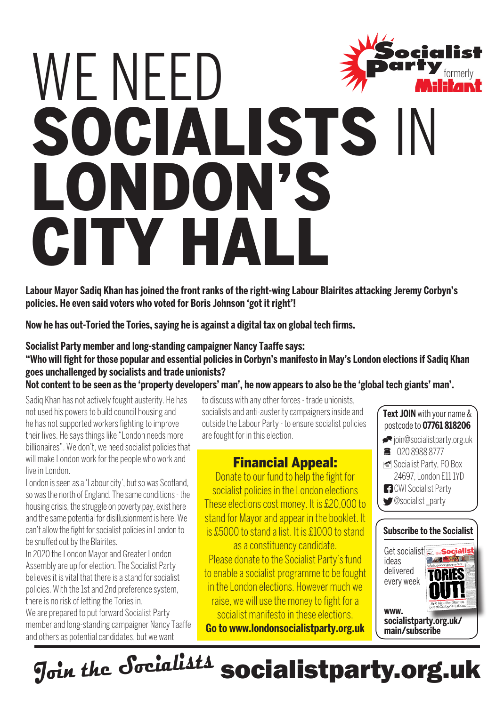# ocialist WE NEED formerly SOCIALISTS IN LONDON'S **CITY HALL**

**Labour Mayor Sadiq Khan has joined the front ranks of the right-wing Labour Blairites attacking Jeremy Corbyn's policies. He even said voters who voted for Boris Johnson 'got it right'!** 

**Now he has out-Toried the Tories, saying he is against a digital tax on global tech firms.**

**Socialist Party member and long-standing campaigner Nancy Taaffe says:** 

**"Who will fight for those popular and essential policies in Corbyn's manifesto in May's London elections if Sadiq Khan goes unchallenged by socialists and trade unionists?**

**Not content to be seen as the 'property developers' man', he now appears to also be the 'global tech giants' man'.** 

Sadiq Khan has not actively fought austerity. He has not used his powers to build council housing and he has not supported workers fighting to improve their lives. He says things like "London needs more billionaires". We don't, we need socialist policies that will make London work for the people who work and live in London.

London is seen as a 'Labour city', but so was Scotland, so was the north of England. The same conditions - the housing crisis, the struggle on poverty pay, exist here and the same potential for disillusionment is here. We can't allow the fight for socialist policies in London to be snuffed out by the Blairites.

In 2020 the London Mayor and Greater London Assembly are up for election. The Socialist Party believes it is vital that there is a stand for socialist policies. With the 1st and 2nd preference system, there is no risk of letting the Tories in. We are prepared to put forward Socialist Party member and long-standing campaigner Nancy Taaffe and others as potential candidates, but we want

to discuss with any other forces - trade unionists, socialists and anti-austerity campaigners inside and outside the Labour Party - to ensure socialist policies are fought for in this election.

#### Financial Appeal:

Donate to our fund to help the fight for socialist policies in the London elections These elections cost money. It is £20,000 to stand for Mayor and appear in the booklet. It is £5000 to stand a list. It is £1000 to stand as a constituency candidate. Please donate to the Socialist Party's fund to enable a socialist programme to be fought in the London elections. However much we raise, we will use the money to fight for a socialist manifesto in these elections. **Go to www.londonsocialistparty.org.uk** 









**www. socialistparty.org.uk/ main/subscribe**

J<sub>oin the</sub> Socialists socialistparty.org.uk